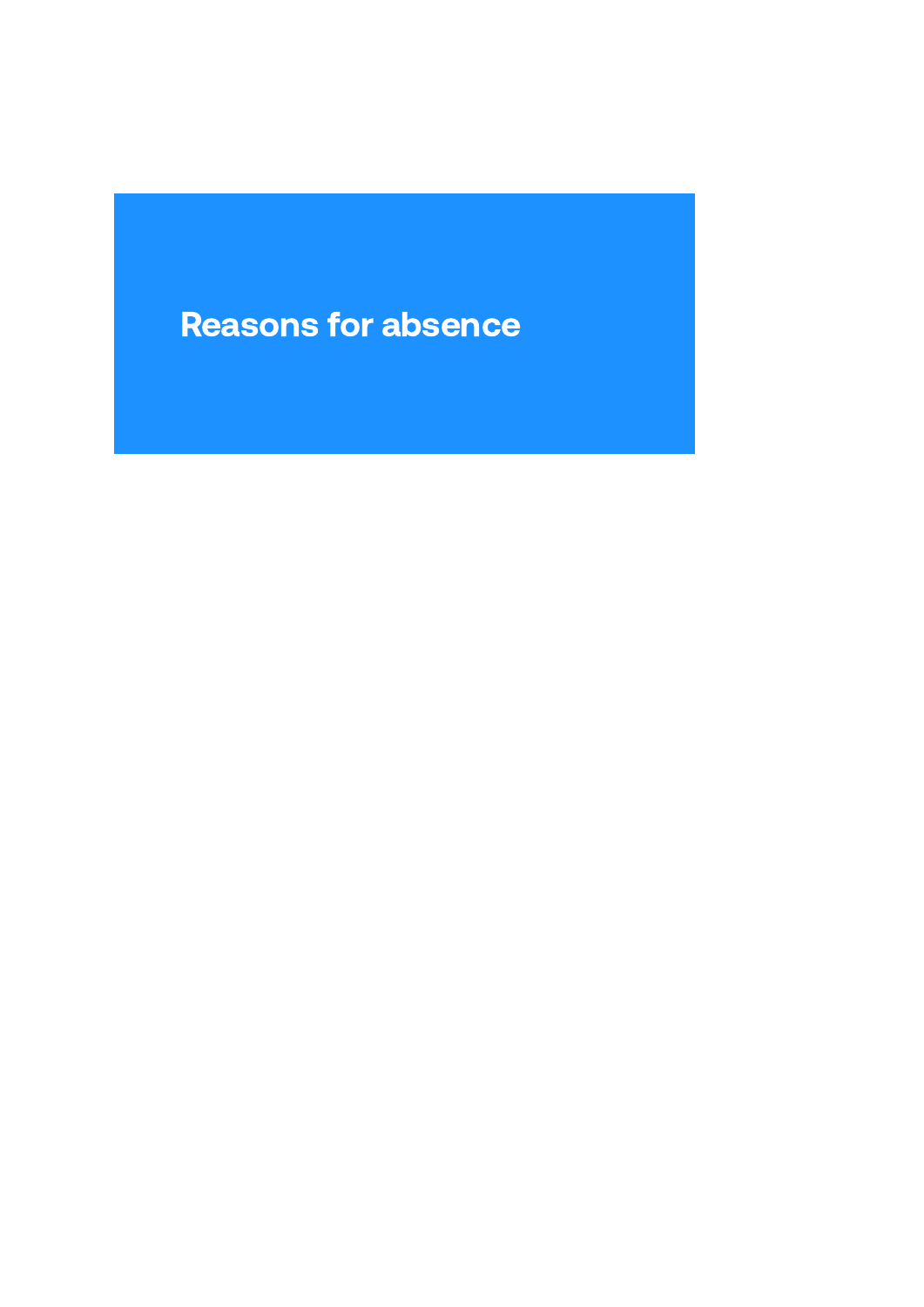# Reasons for absence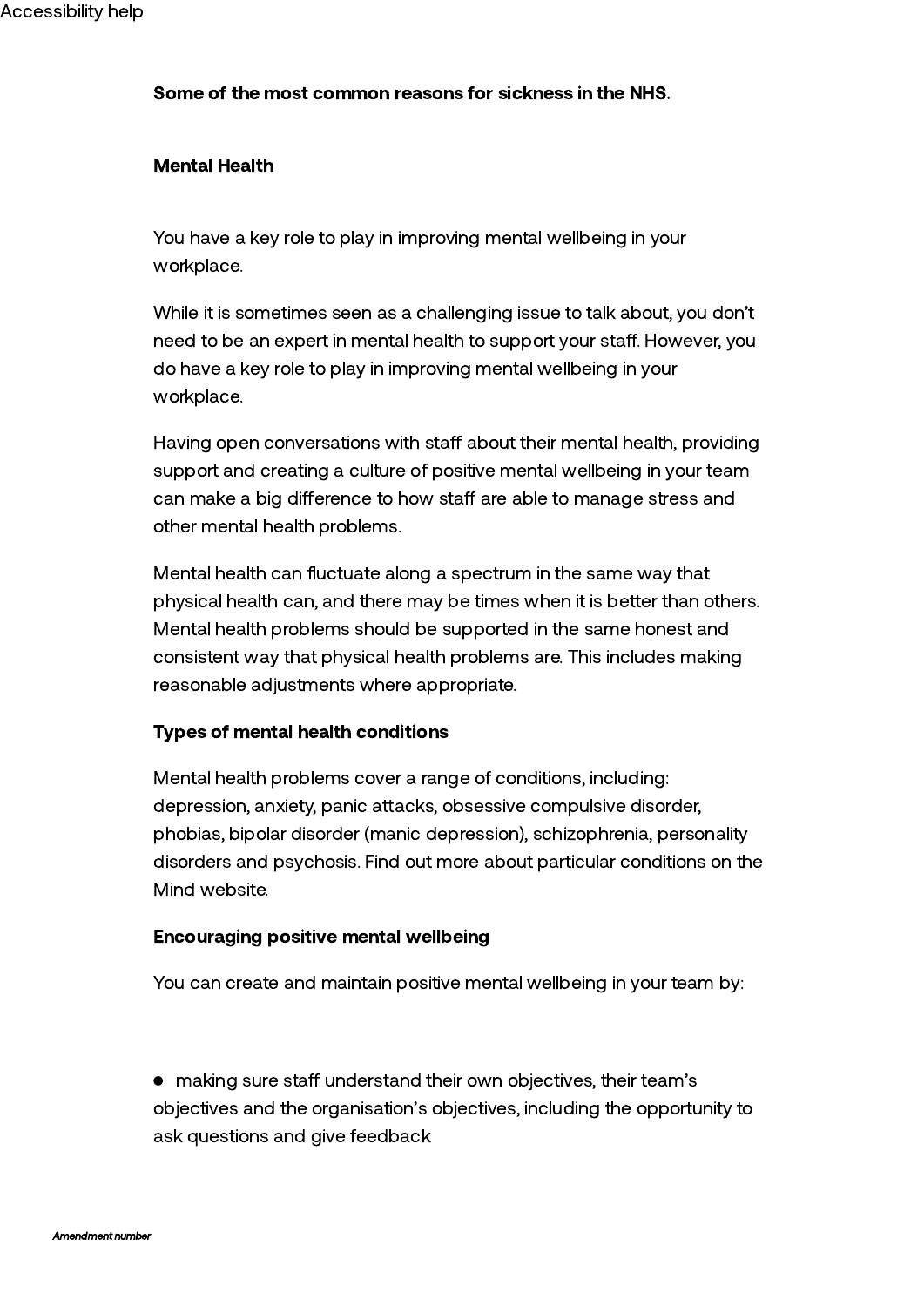## Some of the most common reasons for sickness in the NHS.

#### Mental Health

You have a key role to play in improving mental wellbeing in your workplace.

While it is sometimes seen as a challenging issue to talk about, you don't need to be an expert in mental health to support your staff. However, you do have a key role to play in improving mental wellbeing in your workplace.

Having open conversations with staff about their mental health, providing support and creating a culture of positive mental wellbeing in your team can make a big difference to how staff are able to manage stress and other mental health problems.

Mental health can fluctuate along a spectrum in the same way that physical health can, and there may be times when it is better than others. Mental health problems should be supported in the same honest and consistent way that physical health problems are. This includes making reasonable adjustments where appropriate.

## Types of mental health conditions

Mental health problems cover a range of conditions, including: depression, anxiety, panic attacks, obsessive compulsive disorder, phobias, bipolar disorder (manic depression), schizophrenia, personality disorders and psychosis. Find out more about particular conditions on the Mind [website.](http://www.mind.org.uk/)

#### Encouraging positive mental wellbeing

You can create and maintain positive mental wellbeing in your team by:

• making sure staff understand their own objectives, their team's objectives and the organisation's objectives, including the opportunity to ask questions and give feedback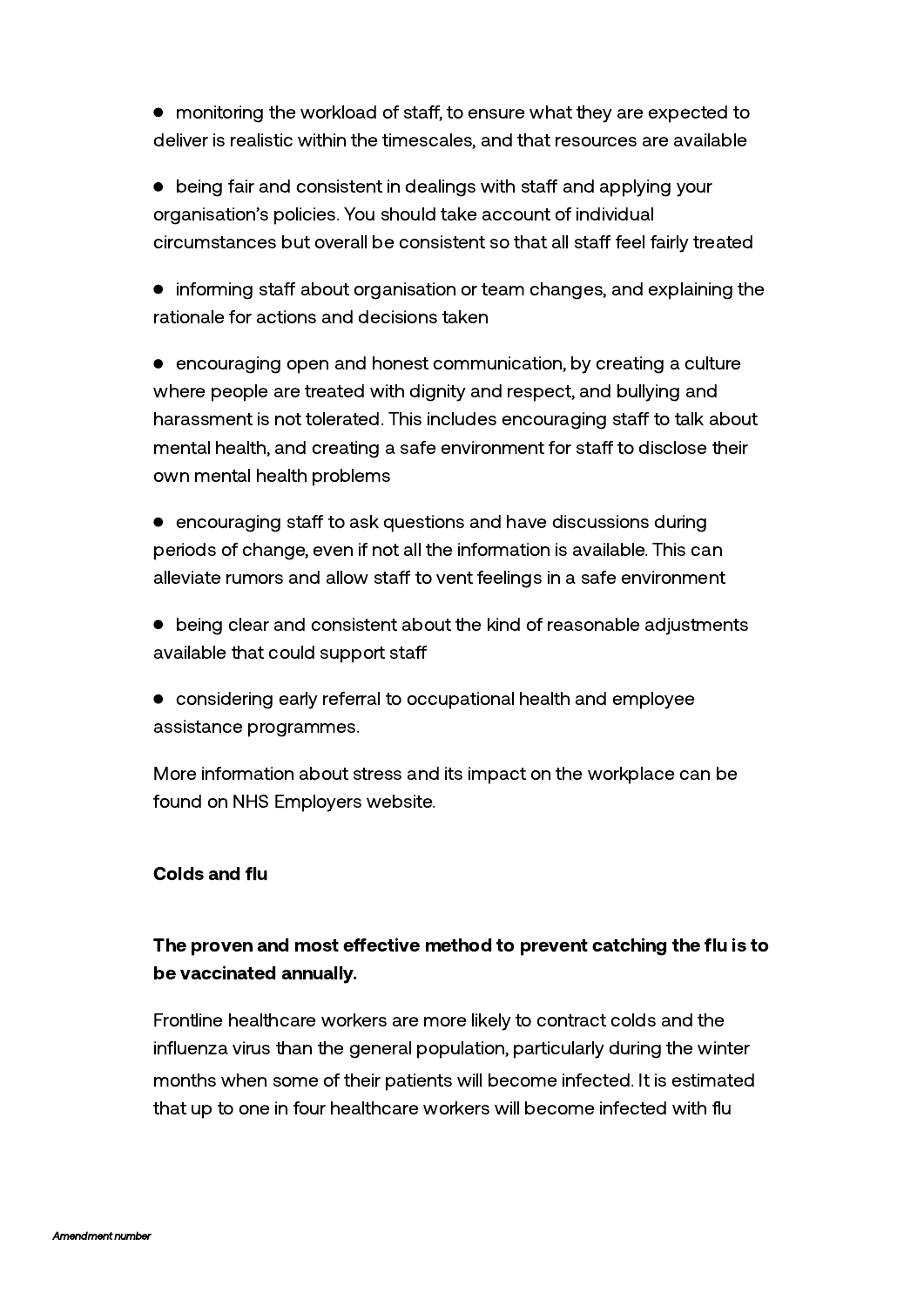$\bullet$  monitoring the workload of staff, to ensure what they are expected to deliver is realistic within the timescales, and that resources are available

 $\bullet$  being fair and consistent in dealings with staff and applying your organisation's policies. You should take account of individual circumstances but overall be consistent so that all staff feel fairly treated

• informing staff about organisation or team changes, and explaining the rationale for actions and decisions taken

• encouraging open and honest communication, by creating a culture where people are treated with dignity and respect, and bullying and harassment is not tolerated. This includes encouraging staff to talk about mental health, and creating a safe environment for staff to disclose their own mental health problems

 $\bullet$  encouraging staff to ask questions and have discussions during periods of change, even if not all the information is available. This can alleviate rumors and allow staff to vent feelings in a safe environment

- being clear and consistent about the kind of reasonable adjustments available that could support sta
- considering early referral to occupational health and employee assistance programmes.

More information about stress and its impact on the workplace can be found on NHS Employers website.

# Colds and flu

# The proven and most effective method to prevent catching the flu is to be vaccinated annually.

Frontline healthcare workers are more likely to contract colds and the influenza virus than the general population, particularly during the winter months when some of their patients will become infected. It is estimated that up to one in four healthcare workers will become infected with flu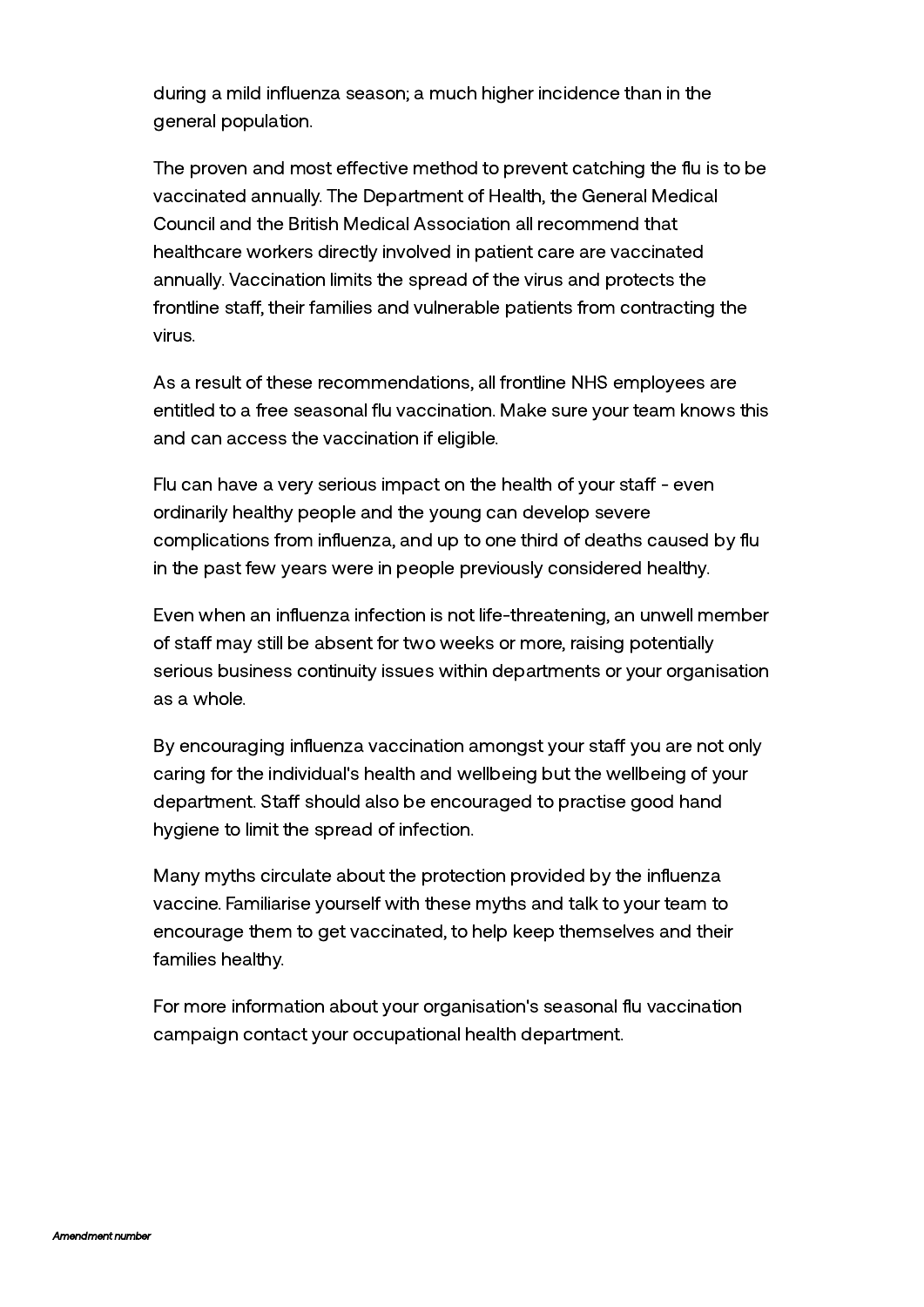during a mild influenza season; a much higher incidence than in the general population.

The proven and most effective method to prevent catching the flu is to be vaccinated annually. The Department of Health, the General Medical Council and the British Medical Association all recommend that healthcare workers directly involved in patient care are vaccinated annually. Vaccination limits the spread of the virus and protects the frontline staff, their families and vulnerable patients from contracting the virus.

As a result of these recommendations, all frontline NHS employees are entitled to a free seasonal flu vaccination. Make sure your team knows this and can access the vaccination if eligible.

Flu can have a very serious impact on the health of your staff - even ordinarily healthy people and the young can develop severe complications from influenza, and up to one third of deaths caused by flu in the past few years were in people previously considered healthy.

Even when an influenza infection is not life-threatening, an unwell member of staff may still be absent for two weeks or more, raising potentially serious business continuity issues within departments or your organisation as a whole.

By encouraging influenza vaccination amongst your staff you are not only caring for the individual's health and wellbeing but the wellbeing of your department. Staff should also be encouraged to practise good hand hygiene to limit the spread of infection.

Many myths circulate about the protection provided by the influenza vaccine. Familiarise yourself with these myths and talk to your team to encourage them to get vaccinated, to help keep themselves and their families healthy.

For more information about your organisation's seasonal flu vaccination campaign contact your occupational health department.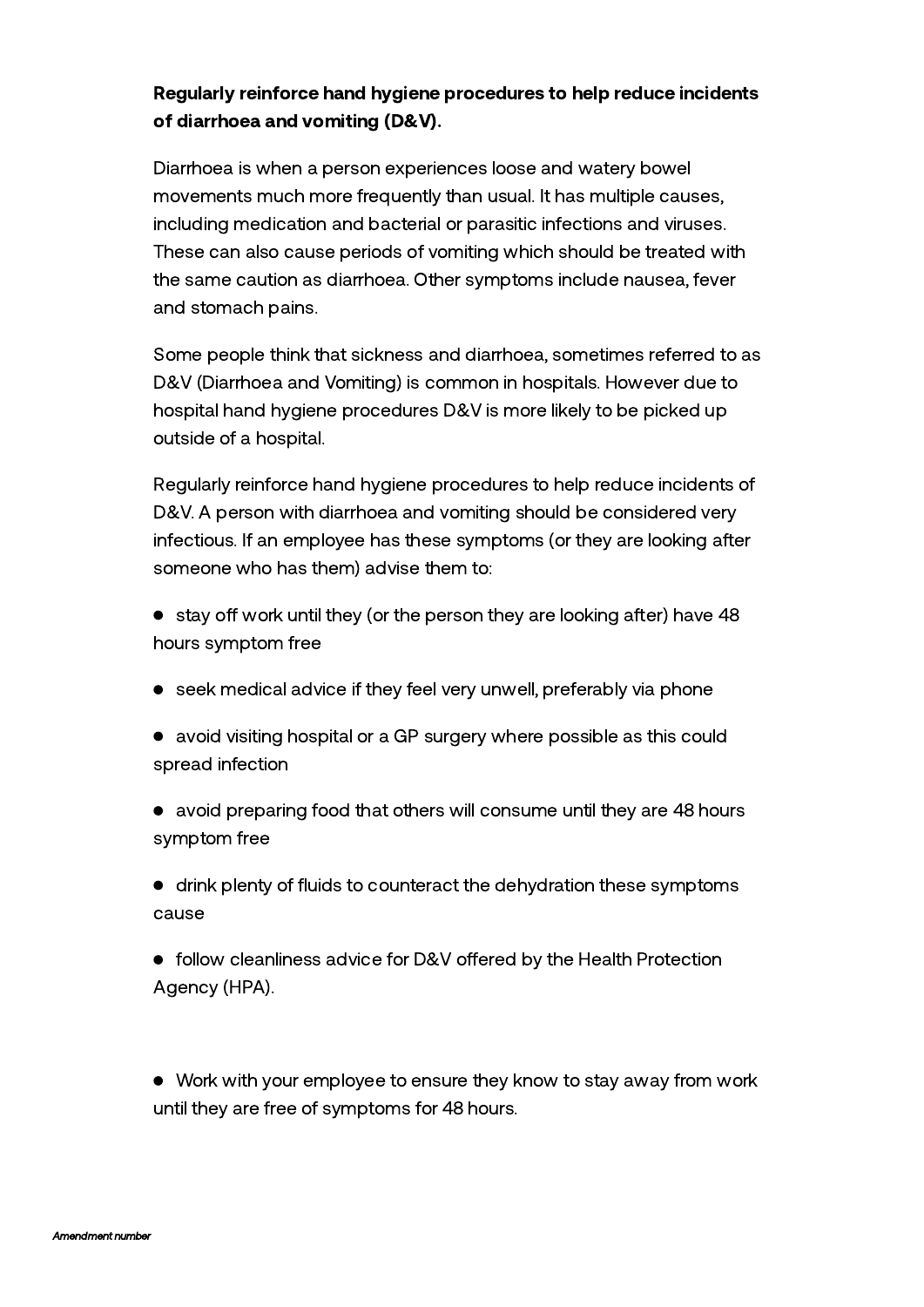# Regularly reinforce hand hygiene procedures to help reduce incidents of diarrhoea and vomiting (D&V).

Diarrhoea is when a person experiences loose and watery bowel movements much more frequently than usual. It has multiple causes, including medication and bacterial or parasitic infections and viruses. These can also cause periods of vomiting which should be treated with the same caution as diarrhoea. Other symptoms include nausea, fever and stomach pains.

Some people think that sickness and diarrhoea, sometimes referred to as D&V (Diarrhoea and Vomiting) is common in hospitals. However due to hospital hand hygiene procedures D&V is more likely to be picked up outside of a hospital.

Regularly reinforce hand hygiene procedures to help reduce incidents of D&V. A person with diarrhoea and vomiting should be considered very infectious. If an employee has these symptoms (or they are looking after someone who has them) advise them to:

- $\bullet$  stay off work until they (or the person they are looking after) have 48 hours symptom free
- seek medical advice if they feel very unwell, preferably via phone
- avoid visiting hospital or a GP surgery where possible as this could spread infection
- avoid preparing food that others will consume until they are 48 hours symptom free
- drink plenty of fluids to counteract the dehydration these symptoms cause
- follow cleanliness advice for D&V offered by the Health Protection Agency (HPA).

Work with your employee to ensure they know to stay away from work until they are free of symptoms for 48 hours.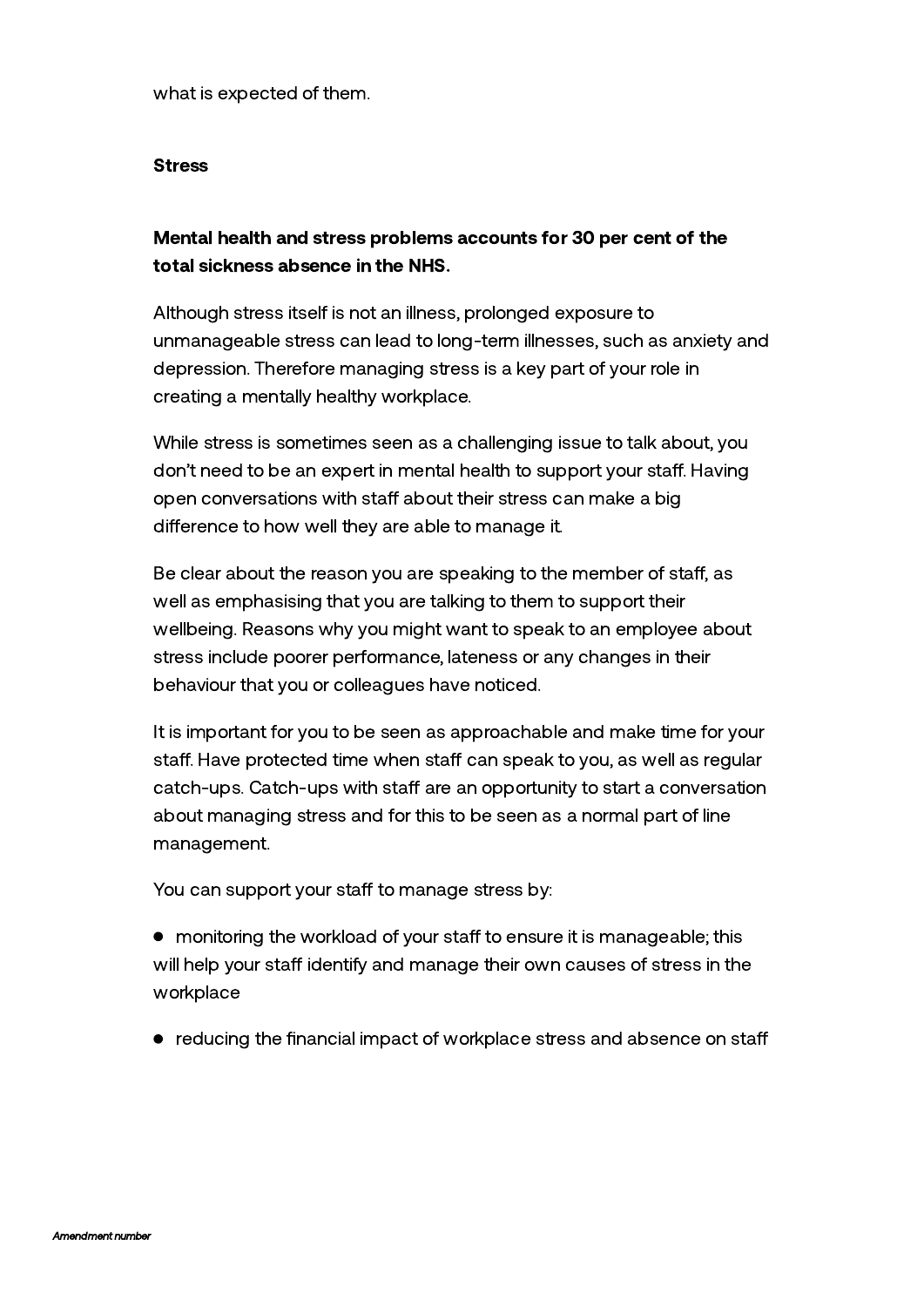what is expected of them.

#### **Stress**

# Mental health and stress problems accounts for 30 per cent of the total sickness absence in the NHS.

Although stress itself is not an illness, prolonged exposure to unmanageable stress can lead to long-term illnesses, such as anxiety and depression. Therefore managing stress is a key part of your role in creating a mentally healthy workplace.

While stress is sometimes seen as a challenging issue to talk about, you don't need to be an expert in mental health to support your staff. Having open conversations with staff about their stress can make a big difference to how well they are able to manage it.

Be clear about the reason you are speaking to the member of staff, as well as emphasising that you are talking to them to support their wellbeing. Reasons why you might want to speak to an employee about stress include poorer performance, lateness or any changes in their behaviour that you or colleagues have noticed.

It is important for you to be seen as approachable and make time for your staff. Have protected time when staff can speak to you, as well as regular catch-ups. Catch-ups with staff are an opportunity to start a conversation about managing stress and for this to be seen as a normal part of line management.

You can support your staff to manage stress by:

• monitoring the workload of your staff to ensure it is manageable; this will help your staff identify and manage their own causes of stress in the workplace

• reducing the financial impact of workplace stress and absence on staff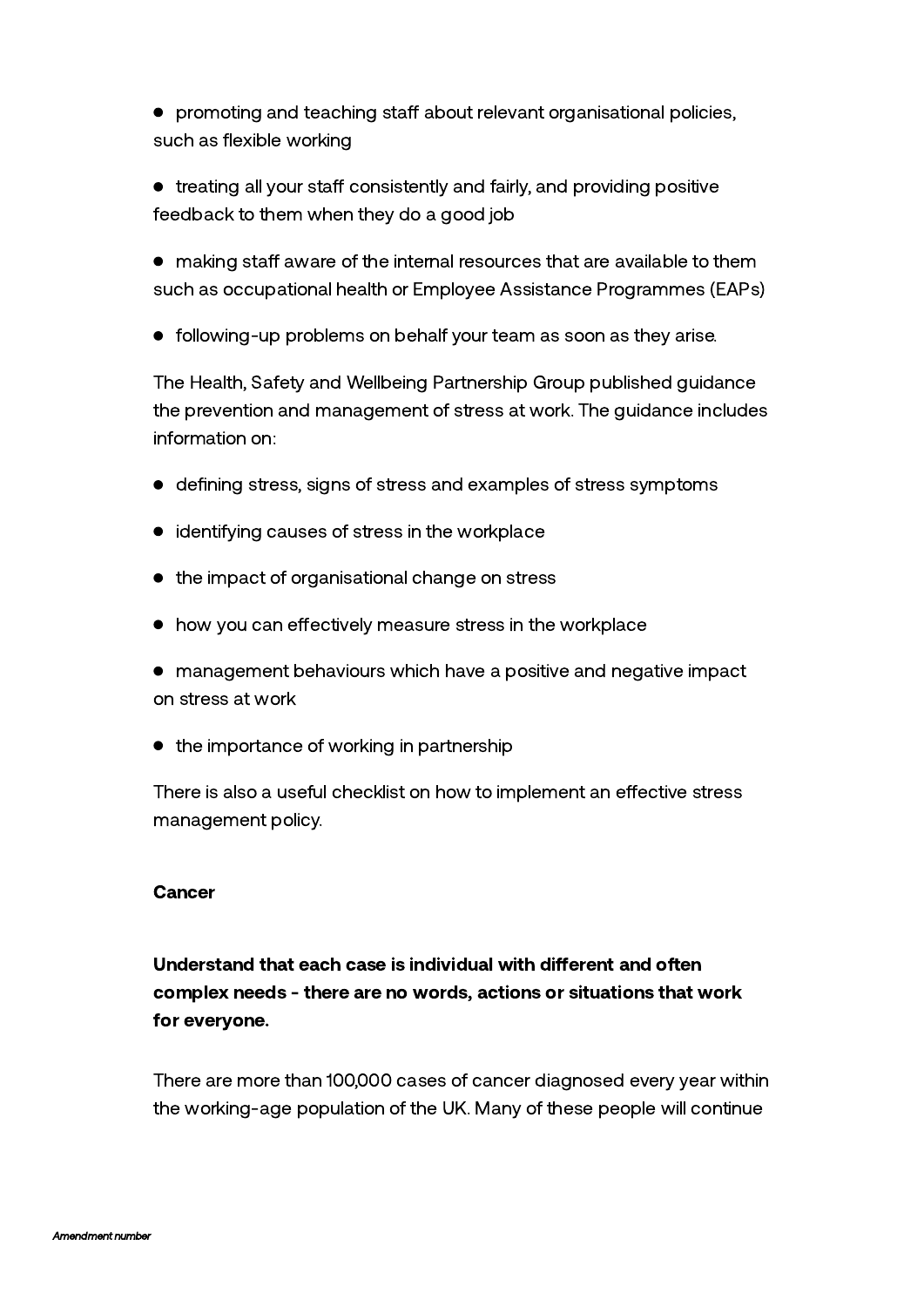$\bullet$  promoting and teaching staff about relevant organisational policies, such as flexible working

 $\bullet$  treating all your staff consistently and fairly, and providing positive feedback to them when they do a good job

 $\bullet$  making staff aware of the internal resources that are available to them such as occupational health or Employee Assistance Programmes (EAPs)

following-up problems on behalf your team as soon as they arise.

The Health, Safety and Wellbeing Partnership Group published guidance the prevention and management of stress at work. The guidance includes information on:

- defining stress, signs of stress and examples of stress symptoms
- identifying causes of stress in the workplace
- the impact of organisational change on stress
- $\bullet$  how you can effectively measure stress in the workplace
- management behaviours which have a positive and negative impact on stress at work
- $\bullet$  the importance of working in partnership

There is also a useful checklist on how to implement an effective stress management policy.

## **Cancer**

Understand that each case is individual with different and often complex needs - there are no words, actions or situations that work for everyone.

There are more than 100,000 cases of cancer diagnosed every year within the working-age population of the UK. Many of these people will continue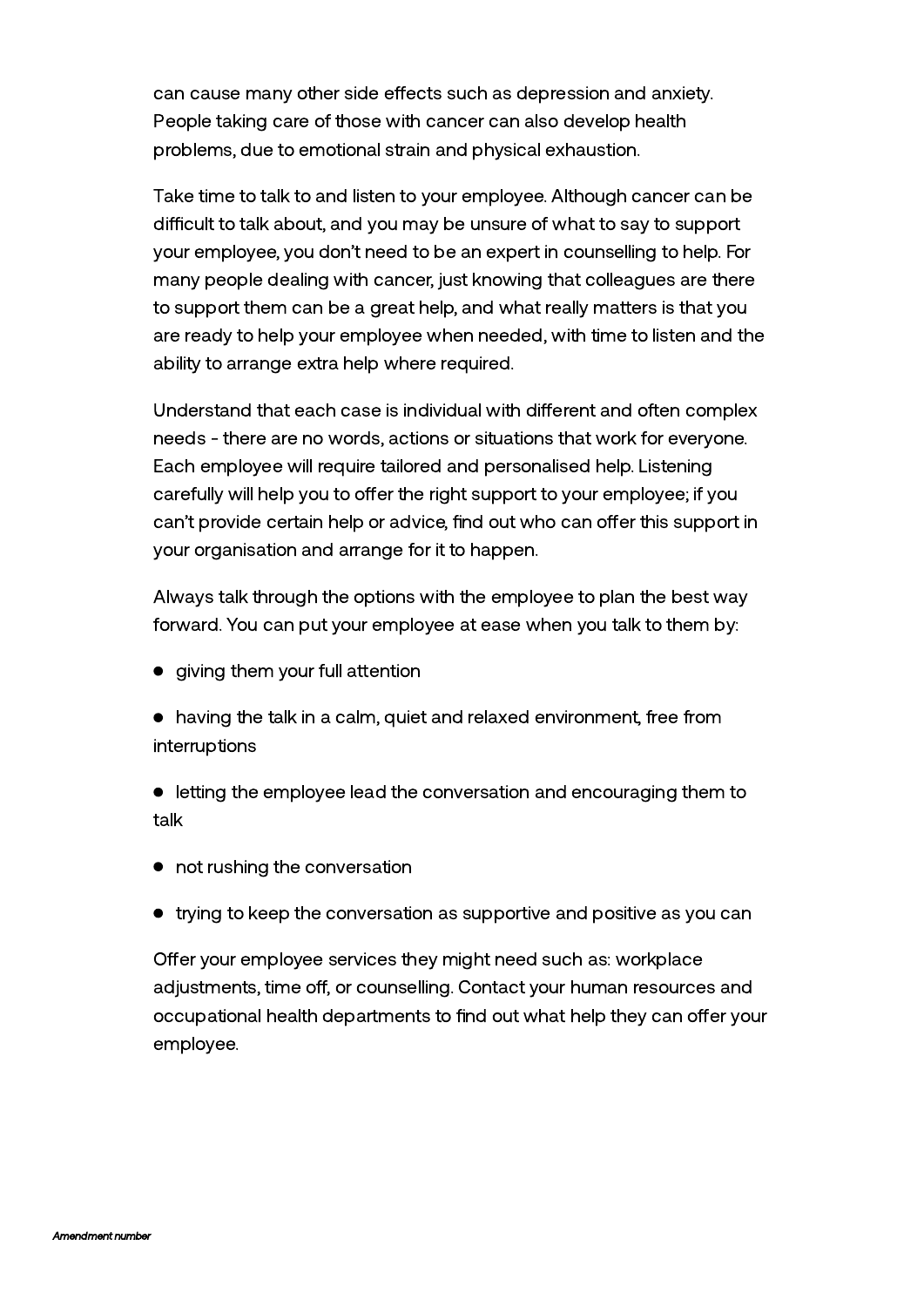can cause many other side effects such as depression and anxiety. People taking care of those with cancer can also develop health problems, due to emotional strain and physical exhaustion.

Take time to talk to and listen to your employee. Although cancer can be difficult to talk about, and you may be unsure of what to say to support your employee, you don't need to be an expert in counselling to help. For many people dealing with cancer, just knowing that colleagues are there to support them can be a great help, and what really matters is that you are ready to help your employee when needed, with time to listen and the ability to arrange extra help where required.

Understand that each case is individual with different and often complex needs - there are no words, actions or situations that work for everyone. Each employee will require tailored and personalised help. Listening carefully will help you to offer the right support to your employee; if you can't provide certain help or advice, find out who can offer this support in your organisation and arrange for it to happen.

Always talk through the options with the employee to plan the best way forward. You can put your employee at ease when you talk to them by:

- giving them your full attention
- having the talk in a calm, quiet and relaxed environment, free from interruptions

letting the employee lead the conversation and encouraging them to talk

- not rushing the conversation
- trying to keep the conversation as supportive and positive as you can

Offer your employee services they might need such as: workplace adjustments, time off, or counselling. Contact your human resources and occupational health departments to find out what help they can offer your employee.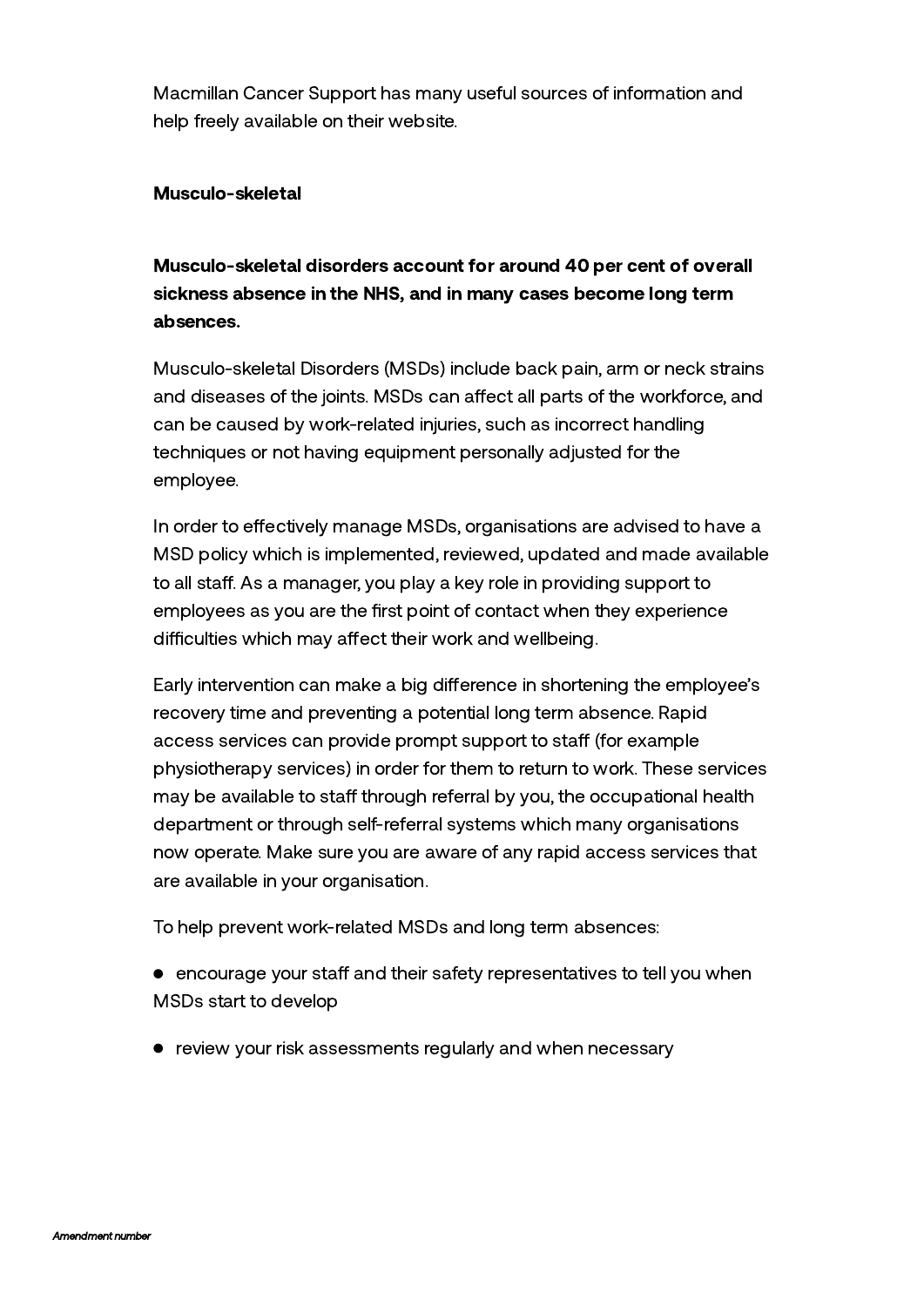[Macmillan](http://www.macmillan.org.uk/Home.aspx) Cancer Support has many useful sources of information and help freely available on their website.

### Musculo-skeletal

Musculo-skeletal disorders account for around 40 per cent of overall sickness absence in the NHS, and in many cases become long term absences.

Musculo-skeletal Disorders (MSDs) include back pain, arm or neck strains and diseases of the joints. MSDs can affect all parts of the workforce, and can be caused by work-related injuries, such as incorrect handling techniques or not having equipment personally adjusted for the employee.

In order to effectively manage MSDs, organisations are advised to have a MSD policy which is implemented, reviewed, updated and made available to all staff. As a manager, you play a key role in providing support to employees as you are the first point of contact when they experience difficulties which may affect their work and wellbeing.

Early intervention can make a big difference in shortening the employee's recovery time and preventing a potential long term absence. Rapid access services can provide prompt support to staff (for example physiotherapy services) in order for them to return to work. These services may be available to staff through referral by you, the occupational health department or through self-referral systems which many organisations now operate. Make sure you are aware of any rapid access services that are available in your organisation.

To help prevent work-related MSDs and long term absences:

- $\bullet$  encourage your staff and their safety representatives to tell you when MSDs start to develop
- review your risk assessments regularly and when necessary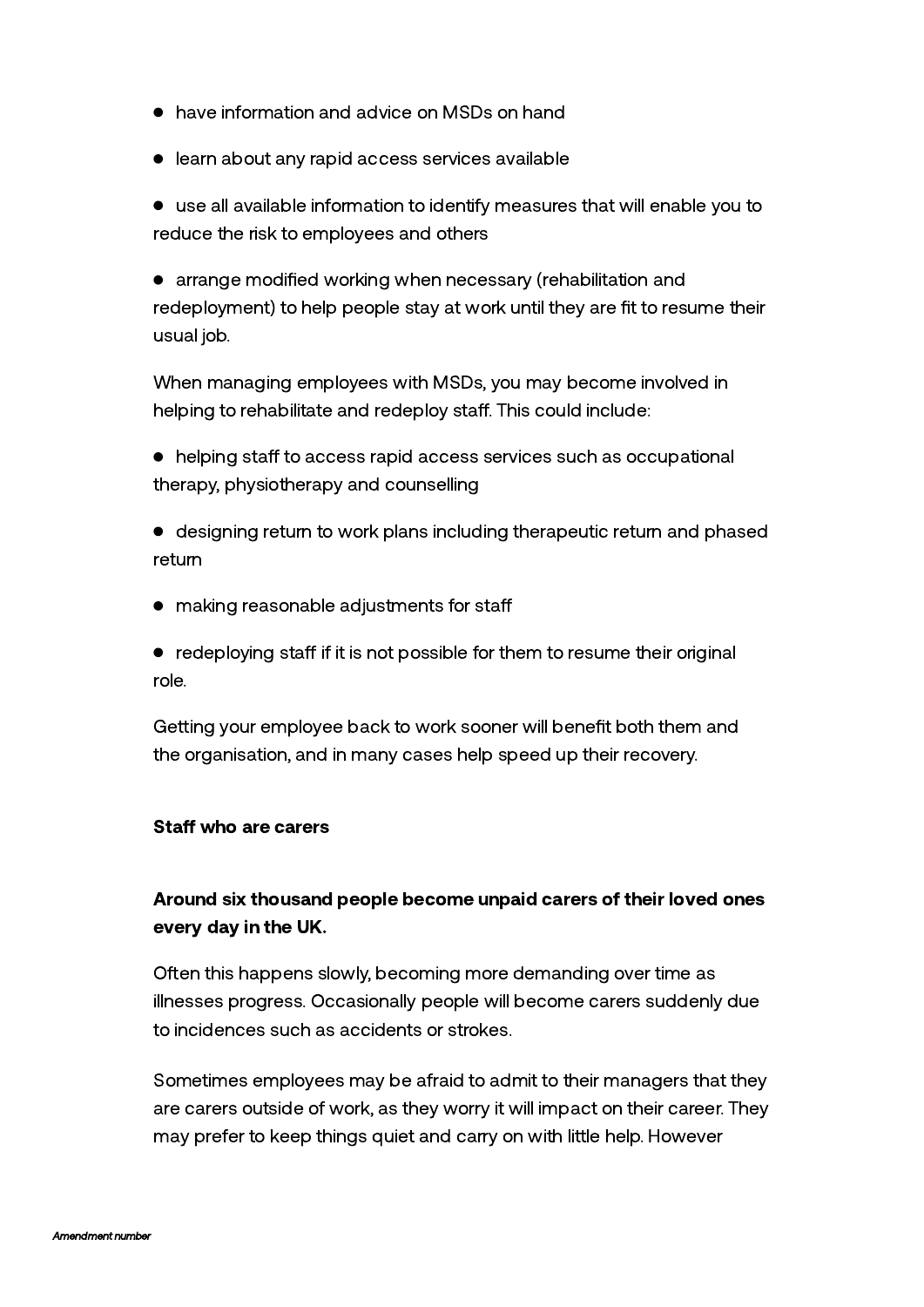- have information and advice on MSDs on hand
- **•** learn about any rapid access services available

use all available information to identify measures that will enable you to reduce the risk to employees and others

arrange modified working when necessary (rehabilitation and redeployment) to help people stay at work until they are fit to resume their usual job.

When managing employees with MSDs, you may become involved in helping to rehabilitate and redeploy staff. This could include:

 $\bullet$  helping staff to access rapid access services such as occupational therapy, physiotherapy and counselling

- designing return to work plans including therapeutic return and phased return
- making reasonable adjustments for staff

 $\bullet$  redeploying staff if it is not possible for them to resume their original role.

Getting your employee back to work sooner will benefit both them and the organisation, and in many cases help speed up their recovery.

### Staff who are carers

# Around six thousand people become unpaid carers of their loved ones every day in the UK.

Often this happens slowly, becoming more demanding over time as illnesses progress. Occasionally people will become carers suddenly due to incidences such as accidents or strokes.

Sometimes employees may be afraid to admit to their managers that they are carers outside of work, as they worry it will impact on their career. They may prefer to keep things quiet and carry on with little help. However